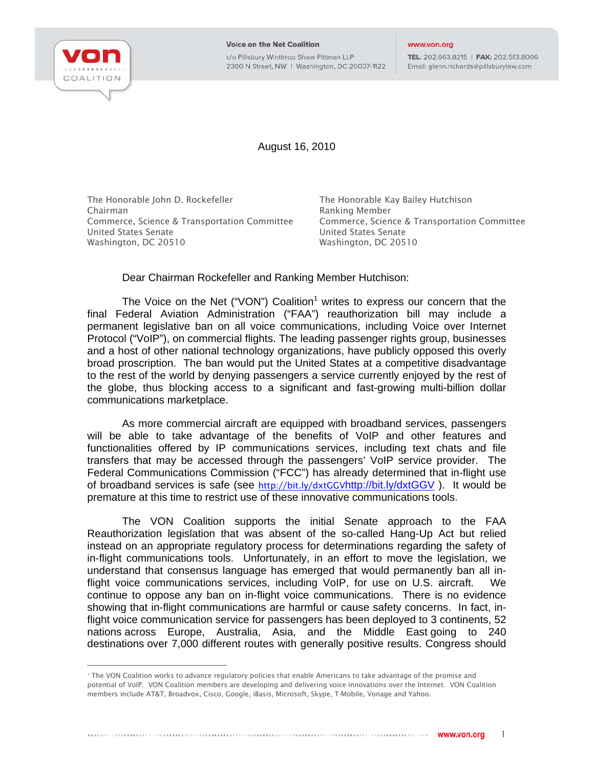

j

**Voice on the Net Coalition** c/o Pillsbury Winthrop Shaw Pittman LLP 2300 N Street, NW | Washington, DC 20037-1122

## www.von.org

TEL: 202.663.8215 | FAX: 202.513.8006 Email: glenn.richards@pillsburylaw.com

August 16, 2010

The Honorable John D. Rockefeller Chairman Commerce, Science & Transportation Committee United States Senate Washington, DC 20510

The Honorable Kay Bailey Hutchison Ranking Member Commerce, Science & Transportation Committee United States Senate Washington, DC 20510

Dear Chairman Rockefeller and Ranking Member Hutchison:

The Voice on the Net ("VON") Coalition<sup>1</sup> writes to express our concern that the final Federal Aviation Administration ("FAA") reauthorization bill may include a permanent legislative ban on all voice communications, including Voice over Internet Protocol ("VoIP"), on commercial flights. The leading passenger rights group, businesses and a host of other national technology organizations, have publicly opposed this overly broad proscription. The ban would put the United States at a competitive disadvantage to the rest of the world by denying passengers a service currently enjoyed by the rest of the globe, thus blocking access to a significant and fast-growing multi-billion dollar communications marketplace.

As more commercial aircraft are equipped with broadband services, passengers will be able to take advantage of the benefits of VoIP and other features and functionalities offered by IP communications services, including text chats and file transfers that may be accessed through the passengers' VoIP service provider. The Federal Communications Commission ("FCC") has already determined that in-flight use of broadband services is safe (see http://bit.ly/dxtGGVhttp://bit.ly/dxtGGV ). It would be premature at this time to restrict use of these innovative communications tools.

The VON Coalition supports the initial Senate approach to the FAA Reauthorization legislation that was absent of the so-called Hang-Up Act but relied instead on an appropriate regulatory process for determinations regarding the safety of in-flight communications tools. Unfortunately, in an effort to move the legislation, we understand that consensus language has emerged that would permanently ban all inflight voice communications services, including VoIP, for use on U.S. aircraft. We continue to oppose any ban on in-flight voice communications. There is no evidence showing that in-flight communications are harmful or cause safety concerns. In fact, inflight voice communication service for passengers has been deployed to 3 continents, 52 nations across Europe, Australia, Asia, and the Middle East going to 240 destinations over 7,000 different routes with generally positive results. Congress should

<sup>1</sup> The VON Coalition works to advance regulatory policies that enable Americans to take advantage of the promise and potential of VoIP. VON Coalition members are developing and delivering voice innovations over the Internet. VON Coalition members include AT&T, Broadvox, Cisco, Google, iBasis, Microsoft, Skype, T-Mobile, Vonage and Yahoo.